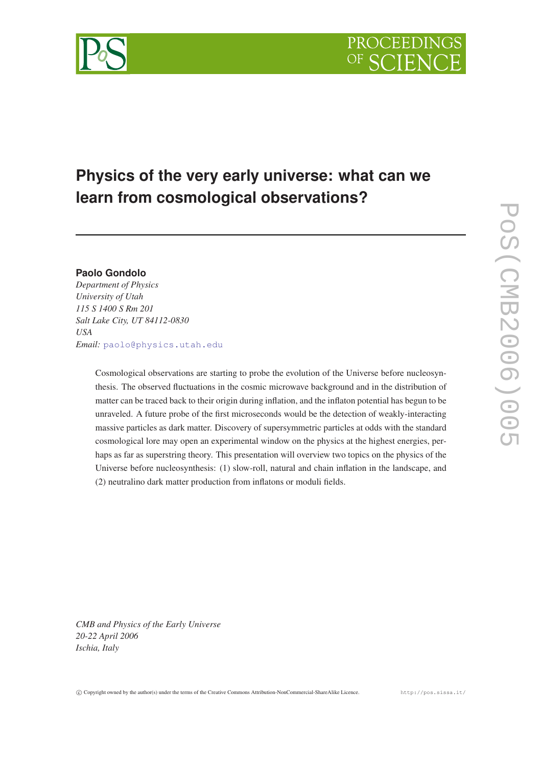# **Physics of the very early universe: what can we learn from cosmological observations?**

## **Paolo Gondolo**

*Department of Physics University of Utah 115 S 1400 S Rm 201 Salt Lake City, UT 84112-0830 USA Email:* [paolo@physics.utah.edu](mailto:paolo@physics.utah.edu)

> Cosmological observations are starting to probe the evolution of the Universe before nucleosynthesis. The observed fluctuations in the cosmic microwave background and in the distribution of matter can be traced back to their origin during inflation, and the inflaton potential has begun to be unraveled. A future probe of the first microseconds would be the detection of weakly-interacting massive particles as dark matter. Discovery of supersymmetric particles at odds with the standard cosmological lore may open an experimental window on the physics at the highest energies, perhaps as far as superstring theory. This presentation will overview two topics on the physics of the Universe before nucleosynthesis: (1) slow-roll, natural and chain inflation in the landscape, and (2) neutralino dark matter production from inflatons or moduli fields.

*CMB and Physics of the Early Universe 20-22 April 2006 Ischia, Italy*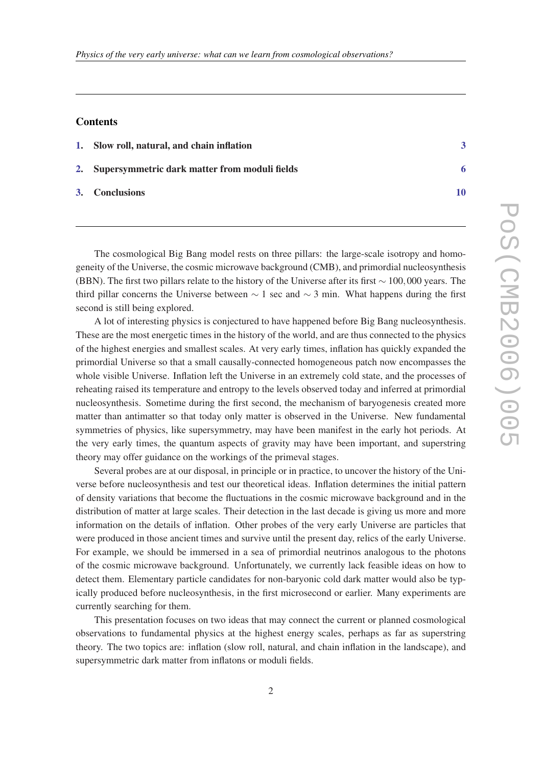#### Contents

| 1. Slow roll, natural, and chain inflation       |    |
|--------------------------------------------------|----|
| 2. Supersymmetric dark matter from moduli fields |    |
| 3. Conclusions                                   | 10 |

The cosmological Big Bang model rests on three pillars: the large-scale isotropy and homogeneity of the Universe, the cosmic microwave background (CMB), and primordial nucleosynthesis (BBN). The first two pillars relate to the history of the Universe after its first ∼ 100,000 years. The third pillar concerns the Universe between  $\sim$  1 sec and  $\sim$  3 min. What happens during the first second is still being explored.

A lot of interesting physics is conjectured to have happened before Big Bang nucleosynthesis. These are the most energetic times in the history of the world, and are thus connected to the physics of the highest energies and smallest scales. At very early times, inflation has quickly expanded the primordial Universe so that a small causally-connected homogeneous patch now encompasses the whole visible Universe. Inflation left the Universe in an extremely cold state, and the processes of reheating raised its temperature and entropy to the levels observed today and inferred at primordial nucleosynthesis. Sometime during the first second, the mechanism of baryogenesis created more matter than antimatter so that today only matter is observed in the Universe. New fundamental symmetries of physics, like supersymmetry, may have been manifest in the early hot periods. At the very early times, the quantum aspects of gravity may have been important, and superstring theory may offer guidance on the workings of the primeval stages.

Several probes are at our disposal, in principle or in practice, to uncover the history of the Universe before nucleosynthesis and test our theoretical ideas. Inflation determines the initial pattern of density variations that become the fluctuations in the cosmic microwave background and in the distribution of matter at large scales. Their detection in the last decade is giving us more and more information on the details of inflation. Other probes of the very early Universe are particles that were produced in those ancient times and survive until the present day, relics of the early Universe. For example, we should be immersed in a sea of primordial neutrinos analogous to the photons of the cosmic microwave background. Unfortunately, we currently lack feasible ideas on how to detect them. Elementary particle candidates for non-baryonic cold dark matter would also be typically produced before nucleosynthesis, in the first microsecond or earlier. Many experiments are currently searching for them.

This presentation focuses on two ideas that may connect the current or planned cosmological observations to fundamental physics at the highest energy scales, perhaps as far as superstring theory. The two topics are: inflation (slow roll, natural, and chain inflation in the landscape), and supersymmetric dark matter from inflatons or moduli fields.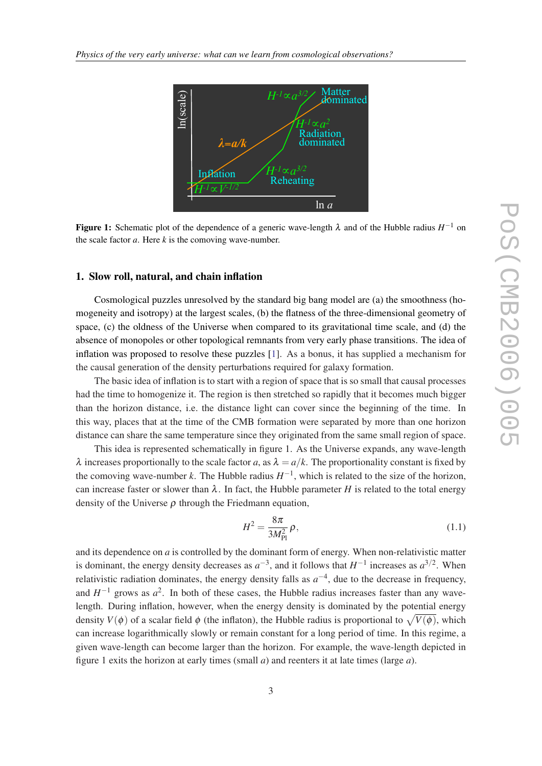<span id="page-2-0"></span>

the scale factor  $a$ . Here  $k$  is the comoving wave-number. **Figure 1:** Schematic plot of the dependence of a generic wave-length  $\lambda$  and of the Hubble radius  $H^{-1}$  on

#### 1. Slow roll, natural, and chain inflation

Cosmological puzzles unresolved by the standard big bang model are (a) the smoothness (homogeneity and isotropy) at the largest scales, (b) the flatness of the three-dimensional geometry of space, (c) the oldness of the Universe when compared to its gravitational time scale, and (d) the absence of monopoles or other topological remnants from very early phase transitions. The idea of inflation was proposed to resolve these puzzles [\[1\]](#page-9-0). As a bonus, it has supplied a mechanism for the causal generation of the density perturbations required for galaxy formation.

The basic idea of inflation is to start with a region of space that is so small that causal processes had the time to homogenize it. The region is then stretched so rapidly that it becomes much bigger than the horizon distance, i.e. the distance light can cover since the beginning of the time. In this way, places that at the time of the CMB formation were separated by more than one horizon distance can share the same temperature since they originated from the same small region of space.

This idea is represented schematically in figure 1. As the Universe expands, any wave-length  $λ$  increases proportionally to the scale factor *a*, as  $λ = a/k$ . The proportionality constant is fixed by the comoving wave-number *k*. The Hubble radius  $H^{-1}$ , which is related to the size of the horizon, can increase faster or slower than  $\lambda$ . In fact, the Hubble parameter *H* is related to the total energy density of the Universe  $\rho$  through the Friedmann equation,

$$
H^2 = \frac{8\pi}{3M_{\rm Pl}^2} \rho,\tag{1.1}
$$

and its dependence on *a* is controlled by the dominant form of energy. When non-relativistic matter is dominant, the energy density decreases as  $a^{-3}$ , and it follows that  $H^{-1}$  increases as  $a^{3/2}$ . When relativistic radiation dominates, the energy density falls as  $a^{-4}$ , due to the decrease in frequency, and  $H^{-1}$  grows as  $a^2$ . In both of these cases, the Hubble radius increases faster than any wavelength. During inflation, however, when the energy density is dominated by the potential energy density  $V(\phi)$  of a scalar field  $\phi$  (the inflaton), the Hubble radius is proportional to  $\sqrt{V(\phi)}$ , which can increase logarithmically slowly or remain constant for a long period of time. In this regime, a given wave-length can become larger than the horizon. For example, the wave-length depicted in figure 1 exits the horizon at early times (small *a*) and reenters it at late times (large *a*).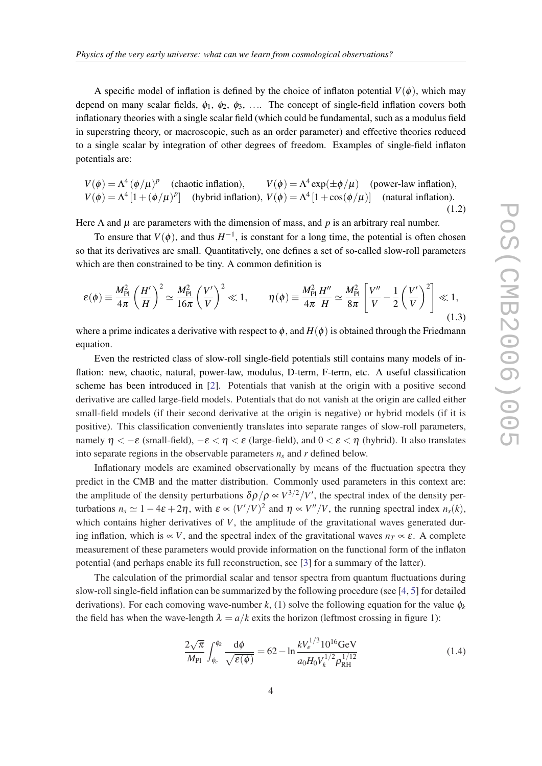A specific model of inflation is defined by the choice of inflaton potential  $V(\phi)$ , which may depend on many scalar fields,  $\phi_1$ ,  $\phi_2$ ,  $\phi_3$ , .... The concept of single-field inflation covers both inflationary theories with a single scalar field (which could be fundamental, such as a modulus field in superstring theory, or macroscopic, such as an order parameter) and effective theories reduced to a single scalar by integration of other degrees of freedom. Examples of single-field inflaton potentials are:

$$
V(\phi) = \Lambda^4 (\phi/\mu)^p
$$
 (chaotic inflation),  $V(\phi) = \Lambda^4 \exp(\pm \phi/\mu)$  (power-law inflation),  $V(\phi) = \Lambda^4 [1 + (\phi/\mu)^p]$  (hybrid inflation),  $V(\phi) = \Lambda^4 [1 + \cos(\phi/\mu)]$  (natural inflation). (1.2)

Here  $\Lambda$  and  $\mu$  are parameters with the dimension of mass, and p is an arbitrary real number.

To ensure that  $V(\phi)$ , and thus  $H^{-1}$ , is constant for a long time, the potential is often chosen so that its derivatives are small. Quantitatively, one defines a set of so-called slow-roll parameters which are then constrained to be tiny. A common definition is

$$
\varepsilon(\phi) \equiv \frac{M_{\rm Pl}^2}{4\pi} \left(\frac{H'}{H}\right)^2 \simeq \frac{M_{\rm Pl}^2}{16\pi} \left(\frac{V'}{V}\right)^2 \ll 1, \qquad \eta(\phi) \equiv \frac{M_{\rm Pl}^2}{4\pi} \frac{H''}{H} \simeq \frac{M_{\rm Pl}^2}{8\pi} \left[\frac{V''}{V} - \frac{1}{2} \left(\frac{V'}{V}\right)^2\right] \ll 1, \tag{1.3}
$$

where a prime indicates a derivative with respect to  $\phi$ , and  $H(\phi)$  is obtained through the Friedmann equation.

Even the restricted class of slow-roll single-field potentials still contains many models of inflation: new, chaotic, natural, power-law, modulus, D-term, F-term, etc. A useful classification scheme has been introduced in [[2](#page-9-0)]. Potentials that vanish at the origin with a positive second derivative are called large-field models. Potentials that do not vanish at the origin are called either small-field models (if their second derivative at the origin is negative) or hybrid models (if it is positive). This classification conveniently translates into separate ranges of slow-roll parameters, namely  $\eta < -\varepsilon$  (small-field),  $-\varepsilon < \eta < \varepsilon$  (large-field), and  $0 < \varepsilon < \eta$  (hybrid). It also translates into separate regions in the observable parameters  $n<sub>s</sub>$  and  $r$  defined below.

Inflationary models are examined observationally by means of the fluctuation spectra they predict in the CMB and the matter distribution. Commonly used parameters in this context are: the amplitude of the density perturbations  $\delta \rho / \rho \propto V^{3/2} / V'$ , the spectral index of the density perturbations  $n_s \simeq 1 - 4\varepsilon + 2\eta$ , with  $\varepsilon \propto (V'/V)^2$  and  $\eta \propto V''/V$ , the running spectral index  $n_s(k)$ , which contains higher derivatives of *V*, the amplitude of the gravitational waves generated during inflation, which is  $\propto$  *V*, and the spectral index of the gravitational waves  $n_T \propto \varepsilon$ . A complete measurement of these parameters would provide information on the functional form of the inflaton potential (and perhaps enable its full reconstruction, see [\[3\]](#page-9-0) for a summary of the latter).

The calculation of the primordial scalar and tensor spectra from quantum fluctuations during slow-roll single-field inflation can be summarized by the following procedure (see [\[4,](#page-9-0) [5\]](#page-9-0) for detailed derivations). For each comoving wave-number  $k$ , (1) solve the following equation for the value  $\phi_k$ the field has when the wave-length  $\lambda = a/k$  exits the horizon (leftmost crossing in figure 1):

$$
\frac{2\sqrt{\pi}}{M_{\rm Pl}} \int_{\phi_e}^{\phi_k} \frac{\mathrm{d}\phi}{\sqrt{\varepsilon(\phi)}} = 62 - \ln \frac{kV_e^{1/3} 10^{16} \text{GeV}}{a_0 H_0 V_k^{1/2} \rho_{\rm RH}^{1/12}} \tag{1.4}
$$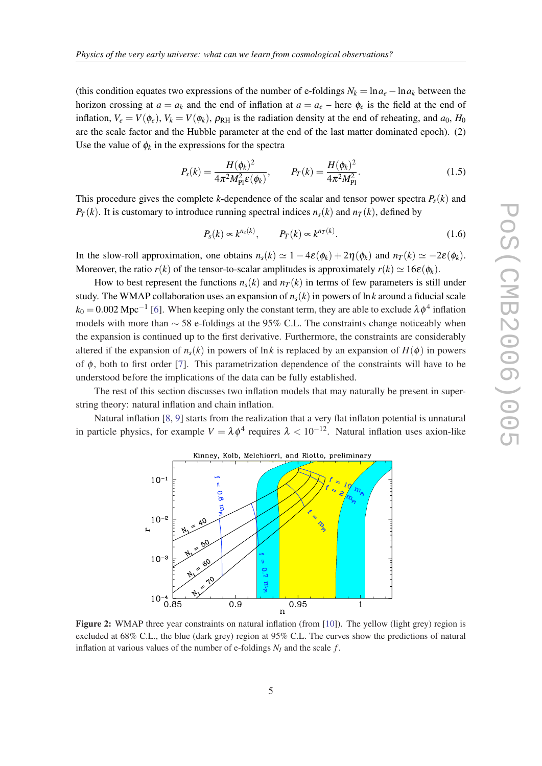(this condition equates two expressions of the number of e-foldings  $N_k = \ln a_e - \ln a_k$  between the horizon crossing at  $a = a_k$  and the end of inflation at  $a = a_e$  – here  $\phi_e$  is the field at the end of inflation,  $V_e = V(\phi_e)$ ,  $V_k = V(\phi_k)$ ,  $\rho_{RH}$  is the radiation density at the end of reheating, and  $a_0$ ,  $H_0$ are the scale factor and the Hubble parameter at the end of the last matter dominated epoch). (2) Use the value of  $\phi_k$  in the expressions for the spectra

$$
P_{s}(k) = \frac{H(\phi_k)^2}{4\pi^2 M_{\rm Pl}^2 \epsilon(\phi_k)}, \qquad P_{T}(k) = \frac{H(\phi_k)^2}{4\pi^2 M_{\rm Pl}^2}.
$$
 (1.5)

This procedure gives the complete *k*-dependence of the scalar and tensor power spectra  $P_s(k)$  and *P*<sub>*T*</sub>(*k*). It is customary to introduce running spectral indices  $n_s(k)$  and  $n_t(k)$ , defined by

$$
P_s(k) \propto k^{n_s(k)}, \qquad P_T(k) \propto k^{n_T(k)}.
$$
\n(1.6)

In the slow-roll approximation, one obtains  $n_s(k) \simeq 1 - 4\varepsilon(\phi_k) + 2\eta(\phi_k)$  and  $n_t(k) \simeq -2\varepsilon(\phi_k)$ . Moreover, the ratio  $r(k)$  of the tensor-to-scalar amplitudes is approximately  $r(k) \approx 16\varepsilon(\phi_k)$ .

How to best represent the functions  $n<sub>s</sub>(k)$  and  $n<sub>T</sub>(k)$  in terms of few parameters is still under study. The WMAP collaboration uses an expansion of  $n<sub>s</sub>(k)$  in powers of ln k around a fiducial scale  $k_0$  = 0.002 Mpc<sup>-1</sup> [\[6\]](#page-9-0). When keeping only the constant term, they are able to exclude  $\lambda \phi^4$  inflation models with more than ∼ 58 e-foldings at the 95% C.L. The constraints change noticeably when the expansion is continued up to the first derivative. Furthermore, the constraints are considerably altered if the expansion of  $n<sub>s</sub>(k)$  in powers of lnk is replaced by an expansion of  $H(\phi)$  in powers of φ, both to first order [[7](#page-9-0)]. This parametrization dependence of the constraints will have to be understood before the implications of the data can be fully established.

The rest of this section discusses two inflation models that may naturally be present in superstring theory: natural inflation and chain inflation.

Natural inflation [[8](#page-9-0), [9](#page-9-0)] starts from the realization that a very flat inflaton potential is unnatural in particle physics, for example  $V = \lambda \phi^4$  requires  $\lambda < 10^{-12}$ . Natural inflation uses axion-like



Figure 2: WMAP three year constraints on natural inflation (from [\[10](#page-10-0)]). The yellow (light grey) region is excluded at 68% C.L., the blue (dark grey) region at 95% C.L. The curves show the predictions of natural inflation at various values of the number of e-foldings  $N_I$  and the scale  $f$ .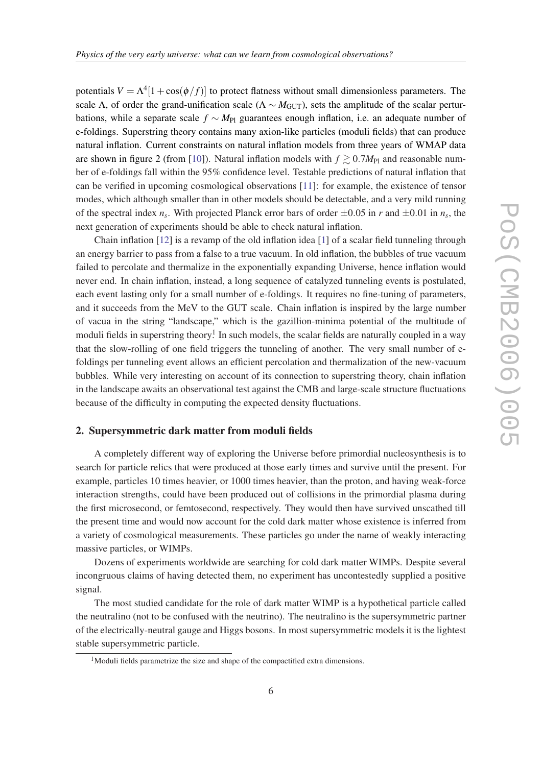<span id="page-5-0"></span>potentials  $V = \Lambda^4[1 + \cos(\phi/f)]$  to protect flatness without small dimensionless parameters. The scale Λ, of order the grand-unification scale ( $\Lambda \sim M_{\text{GUT}}$ ), sets the amplitude of the scalar perturbations, while a separate scale *f* ∼ *M*<sub>Pl</sub> guarantees enough inflation, i.e. an adequate number of e-foldings. Superstring theory contains many axion-like particles (moduli fields) that can produce natural inflation. Current constraints on natural inflation models from three years of WMAP data are shown in figure 2 (from [[10\]](#page-10-0)). Natural inflation models with  $f \gtrsim 0.7M_{\text{Pl}}$  and reasonable number of e-foldings fall within the 95% confidence level. Testable predictions of natural inflation that can be verified in upcoming cosmological observations [[11\]](#page-10-0): for example, the existence of tensor modes, which although smaller than in other models should be detectable, and a very mild running of the spectral index  $n_s$ . With projected Planck error bars of order  $\pm 0.05$  in *r* and  $\pm 0.01$  in  $n_s$ , the next generation of experiments should be able to check natural inflation.

Chain inflation [\[12](#page-10-0)] is a revamp of the old inflation idea [[1](#page-9-0)] of a scalar field tunneling through an energy barrier to pass from a false to a true vacuum. In old inflation, the bubbles of true vacuum failed to percolate and thermalize in the exponentially expanding Universe, hence inflation would never end. In chain inflation, instead, a long sequence of catalyzed tunneling events is postulated, each event lasting only for a small number of e-foldings. It requires no fine-tuning of parameters, and it succeeds from the MeV to the GUT scale. Chain inflation is inspired by the large number of vacua in the string "landscape," which is the gazillion-minima potential of the multitude of moduli fields in superstring theory.<sup>1</sup> In such models, the scalar fields are naturally coupled in a way that the slow-rolling of one field triggers the tunneling of another. The very small number of efoldings per tunneling event allows an efficient percolation and thermalization of the new-vacuum bubbles. While very interesting on account of its connection to superstring theory, chain inflation in the landscape awaits an observational test against the CMB and large-scale structure fluctuations because of the difficulty in computing the expected density fluctuations.

#### 2. Supersymmetric dark matter from moduli fields

A completely different way of exploring the Universe before primordial nucleosynthesis is to search for particle relics that were produced at those early times and survive until the present. For example, particles 10 times heavier, or 1000 times heavier, than the proton, and having weak-force interaction strengths, could have been produced out of collisions in the primordial plasma during the first microsecond, or femtosecond, respectively. They would then have survived unscathed till the present time and would now account for the cold dark matter whose existence is inferred from a variety of cosmological measurements. These particles go under the name of weakly interacting massive particles, or WIMPs.

Dozens of experiments worldwide are searching for cold dark matter WIMPs. Despite several incongruous claims of having detected them, no experiment has uncontestedly supplied a positive signal.

The most studied candidate for the role of dark matter WIMP is a hypothetical particle called the neutralino (not to be confused with the neutrino). The neutralino is the supersymmetric partner of the electrically-neutral gauge and Higgs bosons. In most supersymmetric models it is the lightest stable supersymmetric particle.

<sup>&</sup>lt;sup>1</sup>Moduli fields parametrize the size and shape of the compactified extra dimensions.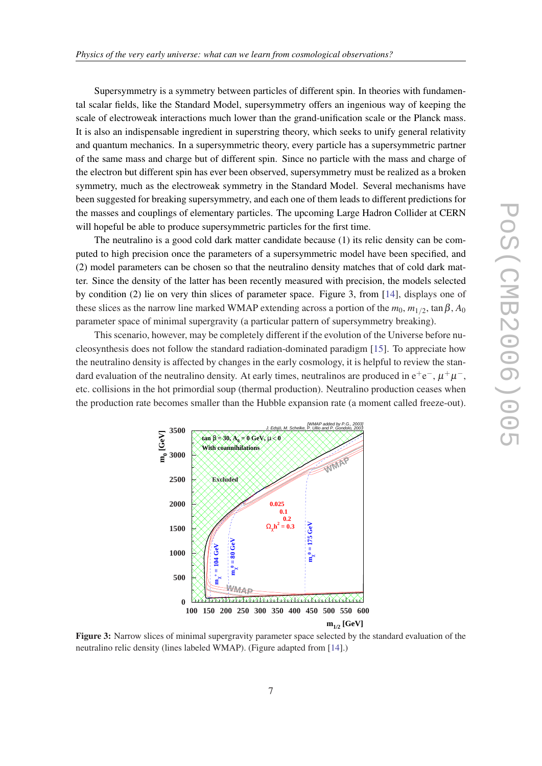Supersymmetry is a symmetry between particles of different spin. In theories with fundamental scalar fields, like the Standard Model, supersymmetry offers an ingenious way of keeping the scale of electroweak interactions much lower than the grand-unification scale or the Planck mass. It is also an indispensable ingredient in superstring theory, which seeks to unify general relativity and quantum mechanics. In a supersymmetric theory, every particle has a supersymmetric partner of the same mass and charge but of different spin. Since no particle with the mass and charge of the electron but different spin has ever been observed, supersymmetry must be realized as a broken symmetry, much as the electroweak symmetry in the Standard Model. Several mechanisms have been suggested for breaking supersymmetry, and each one of them leads to different predictions for the masses and couplings of elementary particles. The upcoming Large Hadron Collider at CERN will hopeful be able to produce supersymmetric particles for the first time.

The neutralino is a good cold dark matter candidate because (1) its relic density can be computed to high precision once the parameters of a supersymmetric model have been specified, and (2) model parameters can be chosen so that the neutralino density matches that of cold dark matter. Since the density of the latter has been recently measured with precision, the models selected by condition (2) lie on very thin slices of parameter space. Figure 3, from [\[14](#page-10-0)], displays one of these slices as the narrow line marked WMAP extending across a portion of the  $m_0$ ,  $m_{1/2}$ ,  $\tan\beta$ ,  $A_0$ parameter space of minimal supergravity (a particular pattern of supersymmetry breaking).

This scenario, however, may be completely different if the evolution of the Universe before nucleosynthesis does not follow the standard radiation-dominated paradigm [\[15](#page-10-0)]. To appreciate how the neutralino density is affected by changes in the early cosmology, it is helpful to review the standard evaluation of the neutralino density. At early times, neutralinos are produced in  $e^+e^-$ ,  $\mu^+\mu^-$ , etc. collisions in the hot primordial soup (thermal production). Neutralino production ceases when the production rate becomes smaller than the Hubble expansion rate (a moment called freeze-out).



Figure 3: Narrow slices of minimal supergravity parameter space selected by the standard evaluation of the neutralino relic density (lines labeled WMAP). (Figure adapted from [\[14](#page-10-0)].)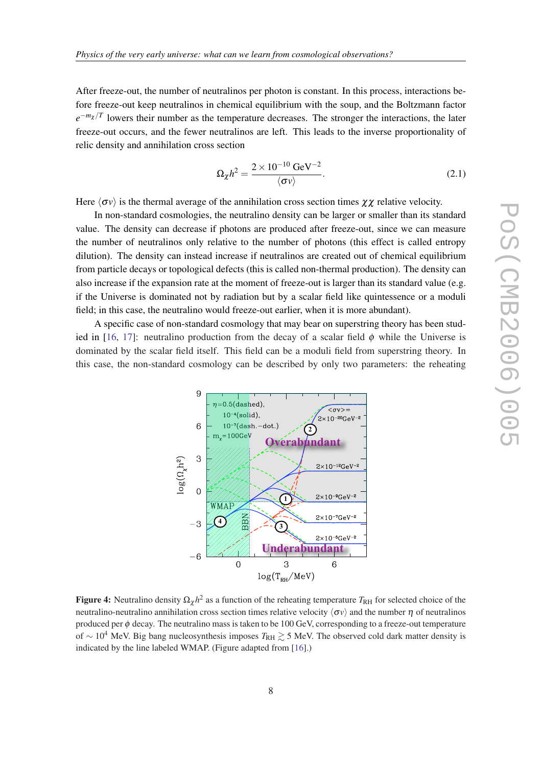After freeze-out, the number of neutralinos per photon is constant. In this process, interactions before freeze-out keep neutralinos in chemical equilibrium with the soup, and the Boltzmann factor  $e^{-m_\chi/T}$  lowers their number as the temperature decreases. The stronger the interactions, the later freeze-out occurs, and the fewer neutralinos are left. This leads to the inverse proportionality of relic density and annihilation cross section

$$
\Omega_{\chi} h^2 = \frac{2 \times 10^{-10} \text{ GeV}^{-2}}{\langle \sigma v \rangle}.
$$
 (2.1)

Here  $\langle \sigma v \rangle$  is the thermal average of the annihilation cross section times  $\chi \chi$  relative velocity.

In non-standard cosmologies, the neutralino density can be larger or smaller than its standard value. The density can decrease if photons are produced after freeze-out, since we can measure the number of neutralinos only relative to the number of photons (this effect is called entropy dilution). The density can instead increase if neutralinos are created out of chemical equilibrium from particle decays or topological defects (this is called non-thermal production). The density can also increase if the expansion rate at the moment of freeze-out is larger than its standard value (e.g. if the Universe is dominated not by radiation but by a scalar field like quintessence or a moduli field; in this case, the neutralino would freeze-out earlier, when it is more abundant).

A specific case of non-standard cosmology that may bear on superstring theory has been stud-ied in [[16,](#page-10-0) [17\]](#page-10-0): neutralino production from the decay of a scalar field  $\phi$  while the Universe is dominated by the scalar field itself. This field can be a moduli field from superstring theory. In this case, the non-standard cosmology can be described by only two parameters: the reheating



Figure 4: Neutralino density  $\Omega_\chi h^2$  as a function of the reheating temperature  $T_{\rm RH}$  for selected choice of the neutralino-neutralino annihilation cross section times relative velocity  $\langle \sigma v \rangle$  and the number  $\eta$  of neutralinos produced per  $\phi$  decay. The neutralino mass is taken to be 100 GeV, corresponding to a freeze-out temperature of ∼ 10<sup>4</sup> MeV. Big bang nucleosynthesis imposes  $T_{\rm RH} \gtrsim 5$  MeV. The observed cold dark matter density is indicated by the line labeled WMAP. (Figure adapted from [[16](#page-10-0)].)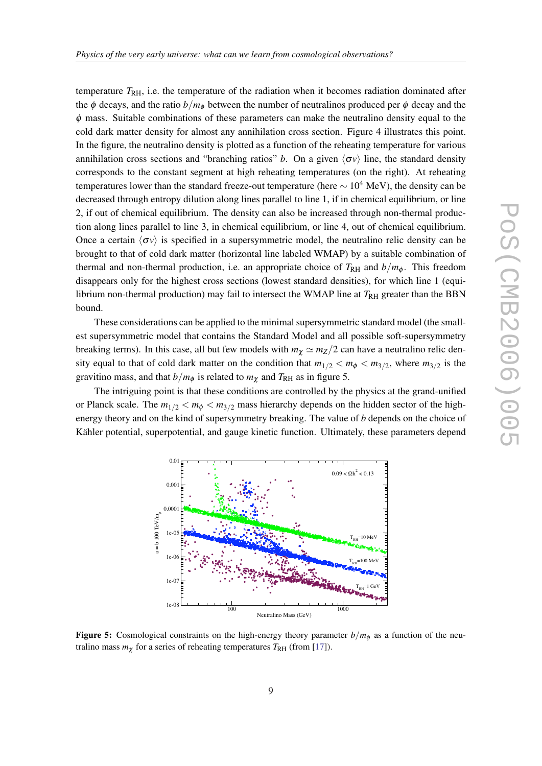temperature  $T<sub>RH</sub>$ , i.e. the temperature of the radiation when it becomes radiation dominated after the  $\phi$  decays, and the ratio  $b/m_{\phi}$  between the number of neutralinos produced per  $\phi$  decay and the  $\phi$  mass. Suitable combinations of these parameters can make the neutralino density equal to the cold dark matter density for almost any annihilation cross section. Figure 4 illustrates this point. In the figure, the neutralino density is plotted as a function of the reheating temperature for various annihilation cross sections and "branching ratios" *b*. On a given  $\langle \sigma v \rangle$  line, the standard density corresponds to the constant segment at high reheating temperatures (on the right). At reheating temperatures lower than the standard freeze-out temperature (here  $\sim 10^4$  MeV), the density can be decreased through entropy dilution along lines parallel to line 1, if in chemical equilibrium, or line 2, if out of chemical equilibrium. The density can also be increased through non-thermal production along lines parallel to line 3, in chemical equilibrium, or line 4, out of chemical equilibrium. Once a certain  $\langle \sigma v \rangle$  is specified in a supersymmetric model, the neutralino relic density can be brought to that of cold dark matter (horizontal line labeled WMAP) by a suitable combination of thermal and non-thermal production, i.e. an appropriate choice of  $T<sub>RH</sub>$  and  $b/m<sub>\phi</sub>$ . This freedom disappears only for the highest cross sections (lowest standard densities), for which line 1 (equilibrium non-thermal production) may fail to intersect the WMAP line at  $T<sub>RH</sub>$  greater than the BBN bound.

These considerations can be applied to the minimal supersymmetric standard model (the smallest supersymmetric model that contains the Standard Model and all possible soft-supersymmetry breaking terms). In this case, all but few models with  $m_{\chi} \simeq m_Z/2$  can have a neutralino relic density equal to that of cold dark matter on the condition that  $m_{1/2} < m_{\phi} < m_{3/2}$ , where  $m_{3/2}$  is the gravitino mass, and that  $b/m_{\phi}$  is related to  $m_{\chi}$  and  $T_{\text{RH}}$  as in figure 5.

The intriguing point is that these conditions are controlled by the physics at the grand-unified or Planck scale. The  $m_{1/2} < m_{\phi} < m_{3/2}$  mass hierarchy depends on the hidden sector of the highenergy theory and on the kind of supersymmetry breaking. The value of *b* depends on the choice of Kähler potential, superpotential, and gauge kinetic function. Ultimately, these parameters depend



**Figure 5:** Cosmological constraints on the high-energy theory parameter  $b/m_\phi$  as a function of the neutralino mass  $m<sub>\chi</sub>$  for a series of reheating temperatures  $T<sub>RH</sub>$  (from [\[17](#page-10-0)]).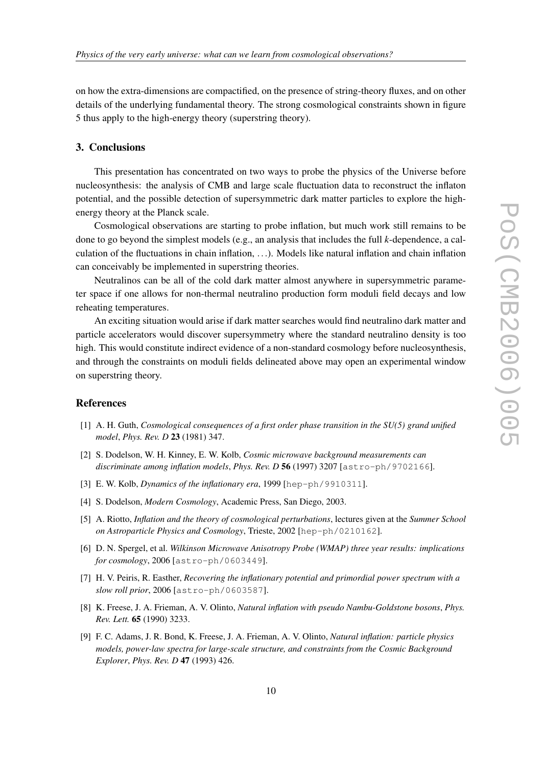<span id="page-9-0"></span>on how the extra-dimensions are compactified, on the presence of string-theory fluxes, and on other details of the underlying fundamental theory. The strong cosmological constraints shown in figure 5 thus apply to the high-energy theory (superstring theory).

#### 3. Conclusions

This presentation has concentrated on two ways to probe the physics of the Universe before nucleosynthesis: the analysis of CMB and large scale fluctuation data to reconstruct the inflaton potential, and the possible detection of supersymmetric dark matter particles to explore the highenergy theory at the Planck scale.

Cosmological observations are starting to probe inflation, but much work still remains to be done to go beyond the simplest models (e.g., an analysis that includes the full *k*-dependence, a calculation of the fluctuations in chain inflation, ...). Models like natural inflation and chain inflation can conceivably be implemented in superstring theories.

Neutralinos can be all of the cold dark matter almost anywhere in supersymmetric parameter space if one allows for non-thermal neutralino production form moduli field decays and low reheating temperatures.

An exciting situation would arise if dark matter searches would find neutralino dark matter and particle accelerators would discover supersymmetry where the standard neutralino density is too high. This would constitute indirect evidence of a non-standard cosmology before nucleosynthesis, and through the constraints on moduli fields delineated above may open an experimental window on superstring theory.

### **References**

- [1] A. H. Guth, *Cosmological consequences of a first order phase transition in the SU(5) grand unified model*, *Phys. Rev. D* 23 (1981) 347.
- [2] S. Dodelson, W. H. Kinney, E. W. Kolb, *Cosmic microwave background measurements can discriminate among inflation models*, *Phys. Rev. D* 56 (1997) 3207 [astro-ph/9702166].
- [3] E. W. Kolb, *Dynamics of the inflationary era*, 1999 [hep-ph/9910311].
- [4] S. Dodelson, *Modern Cosmology*, Academic Press, San Diego, 2003.
- [5] A. Riotto, *Inflation and the theory of cosmological perturbations*, lectures given at the *Summer School on Astroparticle Physics and Cosmology*, Trieste, 2002 [hep-ph/0210162].
- [6] D. N. Spergel, et al. *Wilkinson Microwave Anisotropy Probe (WMAP) three year results: implications for cosmology*, 2006 [astro-ph/0603449].
- [7] H. V. Peiris, R. Easther, *Recovering the inflationary potential and primordial power spectrum with a slow roll prior*, 2006 [astro-ph/0603587].
- [8] K. Freese, J. A. Frieman, A. V. Olinto, *Natural inflation with pseudo Nambu-Goldstone bosons*, *Phys. Rev. Lett.* 65 (1990) 3233.
- [9] F. C. Adams, J. R. Bond, K. Freese, J. A. Frieman, A. V. Olinto, *Natural inflation: particle physics models, power-law spectra for large-scale structure, and constraints from the Cosmic Background Explorer*, *Phys. Rev. D* 47 (1993) 426.